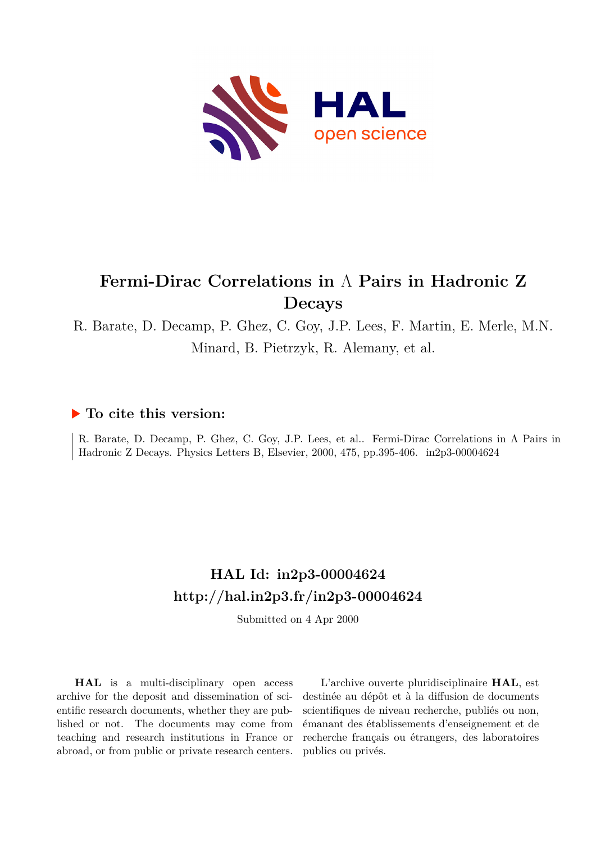

# **Fermi-Dirac Correlations in** Λ **Pairs in Hadronic Z Decays**

R. Barate, D. Decamp, P. Ghez, C. Goy, J.P. Lees, F. Martin, E. Merle, M.N. Minard, B. Pietrzyk, R. Alemany, et al.

#### **To cite this version:**

R. Barate, D. Decamp, P. Ghez, C. Goy, J.P. Lees, et al.. Fermi-Dirac Correlations in Λ Pairs in Hadronic Z Decays. Physics Letters B, Elsevier, 2000, 475, pp.395-406. in2p3-00004624

# **HAL Id: in2p3-00004624 <http://hal.in2p3.fr/in2p3-00004624>**

Submitted on 4 Apr 2000

**HAL** is a multi-disciplinary open access archive for the deposit and dissemination of scientific research documents, whether they are published or not. The documents may come from teaching and research institutions in France or abroad, or from public or private research centers.

L'archive ouverte pluridisciplinaire **HAL**, est destinée au dépôt et à la diffusion de documents scientifiques de niveau recherche, publiés ou non, émanant des établissements d'enseignement et de recherche français ou étrangers, des laboratoires publics ou privés.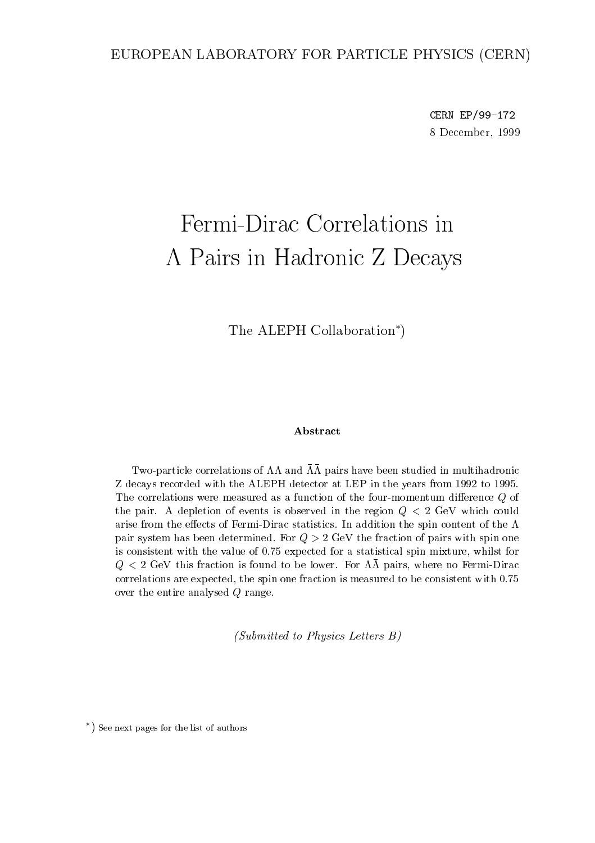#### EUROPEAN LABORATORY FOR PARTICLE PHYSICS (CERN)

CERN EP/99-172 8 December, 1999

# Fermi-Dirac Correlations in Pairs in Hadronic <sup>Z</sup> Decays

The ALEPH Collaboration<sup>\*</sup>)

#### Abstract

Two-particle correlations of  $\Lambda\Lambda$  and  $\bar{\Lambda}\bar{\Lambda}$  pairs have been studied in multihadronic Z decays recorded with the ALEPH detector at LEP in the years from 1992 to 1995. The correlations were measured as a function of the four-momentum difference  $Q$  of the pair. A depletion of events is observed in the region  $Q < 2$  GeV which could arise from the effects of Fermi-Dirac statistics. In addition the spin content of the  $\Lambda$ pair system has been determined. For  $Q > 2$  GeV the fraction of pairs with spin one is consistent with the value of 0.75 expected for a statistical spin mixture, whilst for  $Q < 2$  GeV this fraction is found to be lower. For  $\Lambda\overline{\Lambda}$  pairs, where no Fermi-Dirac correlations are expected, the spin one fraction is measured to be consistent with 0.75 over the entire analysed <sup>Q</sup> range.

(Submitted to Physics Letters B)

<sup>)</sup> See next pages for the list of authors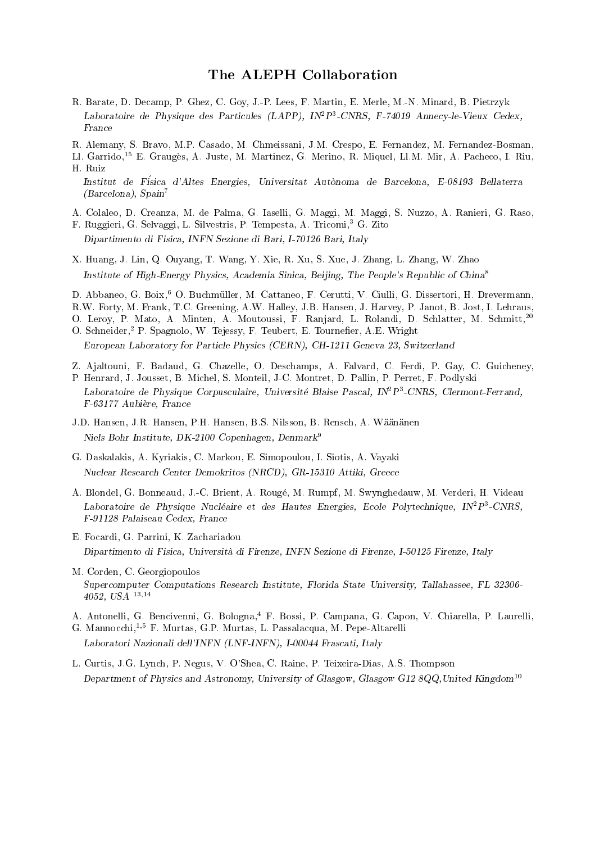#### The ALEPH Collaboration

- R. Barate, D. Decamp, P. Ghez, C. Goy, J.-P. Lees, F. Martin, E. Merle, M.-N. Minard, B. Pietrzyk Laboratoire de Physique des Particules (LAPP), INTP-CNRS, F-74019 Annecy-le-Vieux Cedex, France
- R. Alemany, S. Bravo, M.P. Casado, M. Chmeissani, J.M. Crespo, E. Fernandez, M. Fernandez-Bosman,
- Ll. Garrido,15 E. Grauges, A. Juste, M. Martinez, G. Merino, R. Miquel, Ll.M. Mir, A. Pacheco, I. Riu, H. Ruiz

Institut de Fisica d'Altes Energies, Universitat Autonoma de Barcelona, E-08193 Bellaterra (Barcelona), Spain<sup>7</sup>

- A. Colaleo, D. Creanza, M. de Palma, G. Iaselli, G. Maggi, M. Maggi, S. Nuzzo, A. Ranieri, G. Raso,
- F. Ruggieri, G. Selvaggi, L. Silvestris, P. Tempesta, A. Tricomi,<sup>3</sup> G. Zito Dipartimento di Fisica, INFN Sezione di Bari, I-70126 Bari, Italy
- X. Huang, J. Lin, Q. Ouyang, T. Wang, Y. Xie, R. Xu, S. Xue, J. Zhang, L. Zhang, W. Zhao Institute of High-Energy Physics, Academia Sinica, Beijing, The People's Republic of China<sup>8</sup>
- D. Abbaneo, G. Boix,<sup>6</sup> O. Buchmüller, M. Cattaneo, F. Cerutti, V. Ciulli, G. Dissertori, H. Drevermann,
- R.W. Forty, M. Frank, T.C. Greening, A.W. Halley, J.B. Hansen, J. Harvey, P. Janot, B. Jost, I. Lehraus,
- O. Leroy, P. Mato, A. Minten, A. Moutoussi, F. Ranjard, L. Rolandi, D. Schlatter, M. Schmitt,<sup>20</sup> O. Schneider,<sup>2</sup> P. Spagnolo, W. Tejessy, F. Teubert, E. Tournefier, A.E. Wright

European Laboratory for Particle Physics (CERN), CH-1211 Geneva 23, Switzerland

- Z. Ajaltouni, F. Badaud, G. Chazelle, O. Deschamps, A. Falvard, C. Ferdi, P. Gay, C. Guicheney,
- P. Henrard, J. Jousset, B. Michel, S. Monteil, J-C. Montret, D. Pallin, P. Perret, F. Podlyski Laboratoire de Physique Corpusculaire, Universite Blaise Pascal, IN2P3 -CNRS, Clermont-Ferrand, F-63177 Aubiere, France
- J.D. Hansen, J.R. Hansen, P.H. Hansen, B.S. Nilsson, B. Rensch, A. Waananen Niels Bohr Institute, DK-2100 Copenhagen, Denmark9
- G. Daskalakis, A. Kyriakis, C. Markou, E. Simopoulou, I. Siotis, A. Vayaki Nuclear Research Center Demokritos (NRCD), GR-15310 Attiki, Greece
- A. Blondel, G. Bonneaud, J.-C. Brient, A. Rouge, M. Rumpf, M. Swynghedauw, M. Verderi, H. Videau Laboratoire de Physique Nucleaire et des Hautes Energies, Ecole Polytechnique, IN<sup>2</sup>P3-CNRS, F-91128 Palaiseau Cedex, France
- E. Focardi, G. Parrini, K. Zachariadou Dipartimento di Fisica, Universita di Firenze, INFN Sezione di Firenze, I-50125 Firenze, Italy
- M. Corden, C. Georgiopoulos Supercomputer Computations Research Institute, Florida State University, Tallahassee, FL 32306- 4052, USA 13;14
- A. Antonelli, G. Bencivenni, G. Bologna,<sup>4</sup> F. Bossi, P. Campana, G. Capon, V. Chiarella, P. Laurelli,
- G. Mannocchi,1;5 F. Murtas, G.P. Murtas, L. Passalacqua, M. Pepe-Altarelli Laboratori Nazionali dell'INFN (LNF-INFN), I-00044 Frascati, Italy
- L. Curtis, J.G. Lynch, P. Negus, V. O'Shea, C. Raine, P. Teixeira-Dias, A.S. Thompson Department of Physics and Astronomy, University of Glasgow, Glasgow G12 8QQ, United Kingdom<sup>10</sup>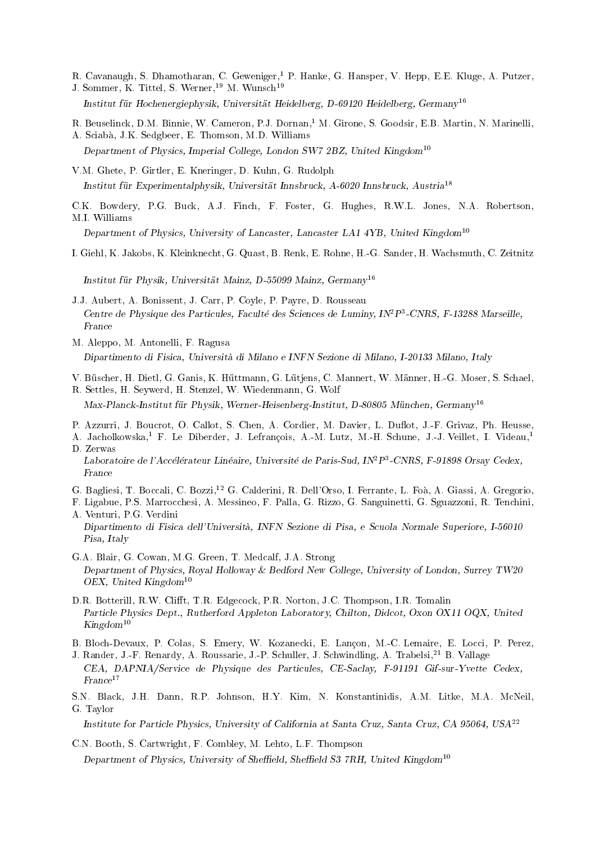R. Cavanaugh, S. Dhamotharan, C. Geweniger,<sup>1</sup> P. Hanke, G. Hansper, V. Hepp, E.E. Kluge, A. Putzer, J. Sommer, K. Tittel, S. Werner,<sup>19</sup> M. Wunsch<sup>19</sup>

Institut fur Hochenergiephysik, Universitat Heidelberg, D-69120 Heidelberg, Germany<sup>16</sup>

- R. Beuselinck, D.M. Binnie, W. Cameron, P.J. Dornan,<sup>1</sup> M. Girone, S. Goodsir, E.B. Martin, N. Marinelli,
- A. Sciaba, J.K. Sedgbeer, E. Thomson, M.D. Williams Department of Physics, Imperial College, London SW7 2BZ, United Kingdom<sup>10</sup>
- V.M. Ghete, P. Girtler, E. Kneringer, D. Kuhn, G. Rudolph Institut fur Experimentalphysik, Universitat Innsbruck, A-6020 Innsbruck, Austria<sup>18</sup>
- C.K. Bowdery, P.G. Buck, A.J. Finch, F. Foster, G. Hughes, R.W.L. Jones, N.A. Robertson, M.I. Williams

Department of Physics, University of Lancaster, Lancaster LA1 4YB, United Kingdom<sup>10</sup>

I. Giehl, K. Jakobs, K. Kleinknecht, G. Quast, B. Renk, E. Rohne, H.-G. Sander, H. Wachsmuth, C. Zeitnitz

Institut für Physik, Universität Mainz, D-55099 Mainz, Germany<sup>16</sup>

- J.J. Aubert, A. Bonissent, J. Carr, P. Coyle, P. Payre, D. Rousseau Centre de Physique des Particules, Faculte des Sciences de Luminy, INTP3-CNRS, F-13288 Marseille, France
- M. Aleppo, M. Antonelli, F. Ragusa Dipartimento di Fisica, Universita di Milano e INFN Sezione di Milano, I-20133 Milano, Italy
- V. Buscher, H. Dietl, G. Ganis, K. Huttmann, G. Lutjens, C. Mannert, W. Manner, H.-G. Moser, S. Schael,
- R. Settles, H. Seywerd, H. Stenzel, W. Wiedenmann, G. Wolf Max-Planck-Institut für Physik, Werner-Heisenberg-Institut, D-80805 München, Germany<sup>16</sup>
- P. Azzurri, J. Boucrot, O. Callot, S. Chen, A. Cordier, M. Davier, L. Duflot, J.-F. Grivaz, Ph. Heusse,
- A. Jacholkowska,<sup>1</sup> F. Le Diberder, J. Lefrancois, A.-M. Lutz, M.-H. Schune, J.-J. Veillet, I. Videau,<sup>1</sup> D. Zerwas

Laboratoire de l'Accélérateur Linéaire, Université de Paris-Sud, IN<sup>2</sup>P<sup>3</sup>-CNRS, F-91898 Orsay Cedex,

- G. Bagliesi, T. Boccali, C. Bozzi,<sup>12</sup> G. Calderini, R. Dell'Orso, I. Ferrante, L. Foa, A. Giassi, A. Gregorio,
- F. Ligabue, P.S. Marrocchesi, A. Messineo, F. Palla, G. Rizzo, G. Sanguinetti, G. Sguazzoni, R. Tenchini, A. Venturi, P.G. Verdini
- Dipartimento di Fisica dell'Universita, INFN Sezione diPisa, e Scuola Normale Superiore, I-56010 Pisa, Italy
- G.A. Blair, G. Cowan, M.G. Green, T. Medcalf, J.A. Strong Department of Physics, Royal Holloway & Bedford New College, University of London, Surrey TW20 OEX, United Kingdom<sup>10</sup>
- D.R. Botterill, R.W. Clifft, T.R. Edgecock, P.R. Norton, J.C. Thompson, I.R. Tomalin Particle Physics Dept., Rutherford Appleton Laboratory, Chilton, Didcot, Oxon OX11 OQX, United  $Kingdom^{10}$
- B. Bloch-Devaux, P. Colas, S. Emery, W. Kozanecki, E. Lancon, M.-C. Lemaire, E. Locci, P. Perez,
- J. Rander, J.-F. Renardy, A. Roussarie, J.-P. Schuller, J. Schwindling, A. Trabelsi,<sup>21</sup> B. Vallage CEA, DAPNIA/Service de Physique des Particules, CE-Saclay, F-91191 Gif-sur-Yvette Cedex,  $France<sup>17</sup>$
- S.N. Black, J.H. Dann, R.P. Johnson, H.Y. Kim, N. Konstantinidis, A.M. Litke, M.A. McNeil, G. Taylor

Institute for Particle Physics, University of California at Santa Cruz, Santa Cruz, CA 95064, USA<sup>22</sup>

C.N. Booth, S. Cartwright, F. Combley, M. Lehto, L.F. Thompson Department of Physics, University of Sheffield, Sheffield S3 7RH, United Kingdom<sup>10</sup>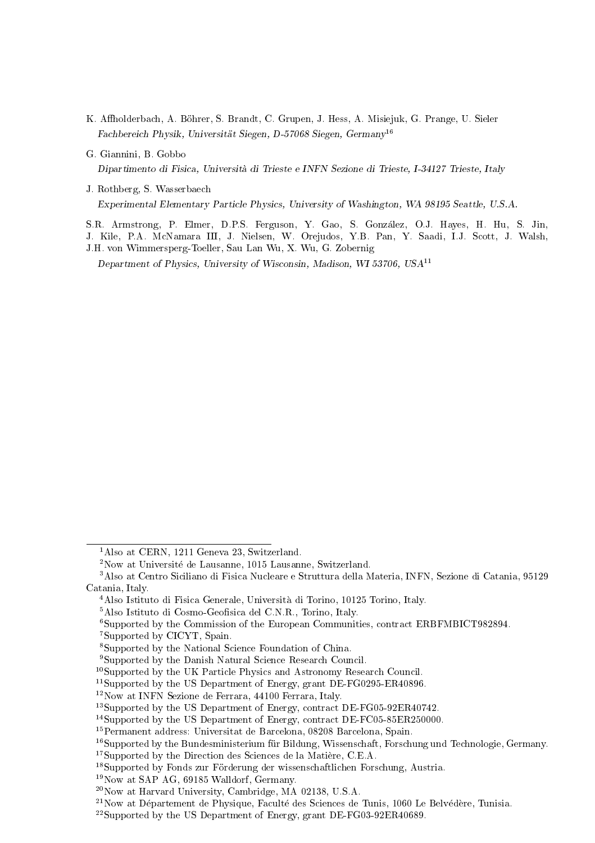- K. Aholderbach, A. Bohrer, S. Brandt, C. Grupen, J. Hess, A. Misiejuk, G. Prange, U. Sieler Fachbereich Physik, Universitat Siegen, D-57068 Siegen, Germany<sup>16</sup>
- G. Giannini, B. Gobbo Dipartimento di Fisica, Universita di Trieste e INFN Sezione di Trieste, I-34127 Trieste, Italy
- J. Rothberg, S. Wasserbaech Experimental Elementary Particle Physics, University of Washington, WA 98195 Seattle, U.S.A.
- S.R. Armstrong, P. Elmer, D.P.S. Ferguson, Y. Gao, S. Gonzalez, O.J. Hayes, H. Hu, S. Jin,
- J. Kile, P.A. McNamara III, J. Nielsen, W. Orejudos, Y.B. Pan, Y. Saadi, I.J. Scott, J. Walsh, J.H. von Wimmersperg-Toeller, Sau Lan Wu, X. Wu, G. Zobernig Department of Physics, University of Wisconsin, Madison, WI 53706, USA<sup>11</sup>

7Supported by CICYT, Spain.

<sup>&</sup>lt;sup>1</sup>Also at CERN, 1211 Geneva 23, Switzerland.

<sup>&</sup>lt;sup>2</sup>Now at Université de Lausanne, 1015 Lausanne, Switzerland.

<sup>3</sup>Also at Centro Siciliano di Fisica Nucleare e Struttura della Materia, INFN, Sezione di Catania, 95129 Catania, Italy.

<sup>4</sup>Also Istituto di Fisica Generale, Universita di Torino, 10125 Torino, Italy.

<sup>&</sup>lt;sup>5</sup>Also Istituto di Cosmo-Geofisica del C.N.R., Torino, Italy.

<sup>6</sup>Supported by the Commission of the European Communities, contract ERBFMBICT982894.

<sup>8</sup>Supported by the National Science Foundation of China.

<sup>9</sup>Supported by the Danish Natural Science Research Council.

<sup>10</sup>Supported by the UK Particle Physics and Astronomy Research Council.

<sup>&</sup>lt;sup>11</sup>Supported by the US Department of Energy, grant DE-FG0295-ER40896.

<sup>12</sup>Now at INFN Sezione de Ferrara, 44100 Ferrara, Italy.

<sup>13</sup>Supported by the US Department of Energy, contract DE-FG05-92ER40742.

<sup>&</sup>lt;sup>14</sup>Supported by the US Department of Energy, contract DE-FC05-85ER250000.

<sup>15</sup>Permanent address: Universitat de Barcelona, 08208 Barcelona, Spain.

<sup>&</sup>lt;sup>16</sup>Supported by the Bundesministerium für Bildung, Wissenschaft, Forschung und Technologie, Germany.

<sup>&</sup>lt;sup>17</sup>Supported by the Direction des Sciences de la Matière, C.E.A.

<sup>&</sup>lt;sup>18</sup>Supported by Fonds zur Förderung der wissenschaftlichen Forschung, Austria.

<sup>19</sup>Now at SAP AG, 69185 Walldorf, Germany.

<sup>20</sup>Now at Harvard University, Cambridge, MA 02138, U.S.A.

 $21\,\text{Now at Département de Physique, Faculté des Sciences de Tunis, 1060 Le Belvédère, Tunisia.}$ 

<sup>22</sup>Supported by the US Department of Energy, grant DE-FG03-92ER40689.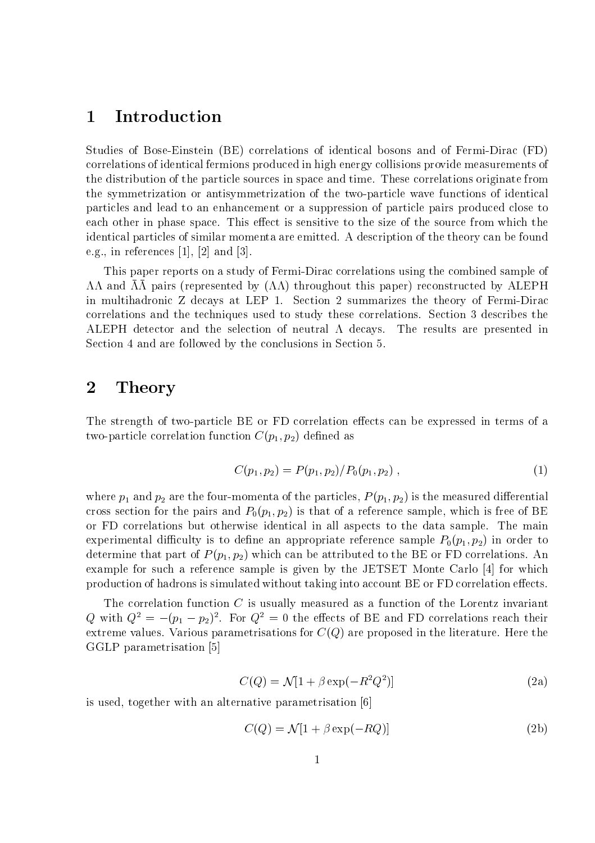# 1 Introduction

Studies of Bose-Einstein (BE) correlations of identical bosons and of Fermi-Dirac (FD) correlations of identical fermions produced in high energy collisions provide measurements of the distribution of the particle sources in space and time. These correlations originate from the symmetrization or antisymmetrization of the two-particle wave functions of identical particles and lead to an enhancement or a suppression of particle pairs produced close to each other in phase space. This effect is sensitive to the size of the source from which the identical particles of similar momenta are emitted. A description of the theory can be found e.g., in references [1], [2] and [3].

This paper reports on a study of Fermi-Dirac correlations using the combined sample of  $\Lambda\Lambda$  and  $\Lambda\Lambda$  pairs (represented by  $(\Lambda\Lambda)$  throughout this paper) reconstructed by ALEPH in multihadronic Z decays at LEP 1. Section 2 summarizes the theory of Fermi-Dirac correlations and the techniques used to study these correlations. Section 3 describes the ALEPH detector and the selection of neutral  $\Lambda$  decays. The results are presented in Section 4 and are followed by the conclusions in Section 5.

# 2 Theory

The strength of two-particle BE or FD correlation effects can be expressed in terms of a two-particle correlation function  $C(p_1, p_2)$  defined as

$$
C(p_1, p_2) = P(p_1, p_2) / P_0(p_1, p_2) , \qquad (1)
$$

where  $p_1$  and  $p_2$  are the four-momenta of the particles,  $P(p_1, p_2)$  is the measured differential cross section for the pairs and  $P_0(p_1, p_2)$  is that of a reference sample, which is free of BE or FD correlations but otherwise identical in all aspects to the data sample. The main experimental difficulty is to define an appropriate reference sample  $P_0(p_1, p_2)$  in order to determine that part of  $P(p_1, p_2)$  which can be attributed to the BE or FD correlations. An example for such a reference sample is given by the JETSET Monte Carlo [4] for which production of hadrons is simulated without taking into account BE or FD correlation effects.

The correlation function  $C$  is usually measured as a function of the Lorentz invariant  $Q$  with  $Q^2 = - (p_1 - p_2)^2$ . For  $Q^2 = 0$  the effects of BE and FD correlations reach their extreme values. Various parametrisations for  $C(Q)$  are proposed in the literature. Here the GGLP parametrisation [5]

$$
C(Q) = \mathcal{N}[1 + \beta \exp(-R^2 Q^2)] \tag{2a}
$$

is used, together with an alternative parametrisation [6]

$$
C(Q) = \mathcal{N}[1 + \beta \exp(-RQ)] \tag{2b}
$$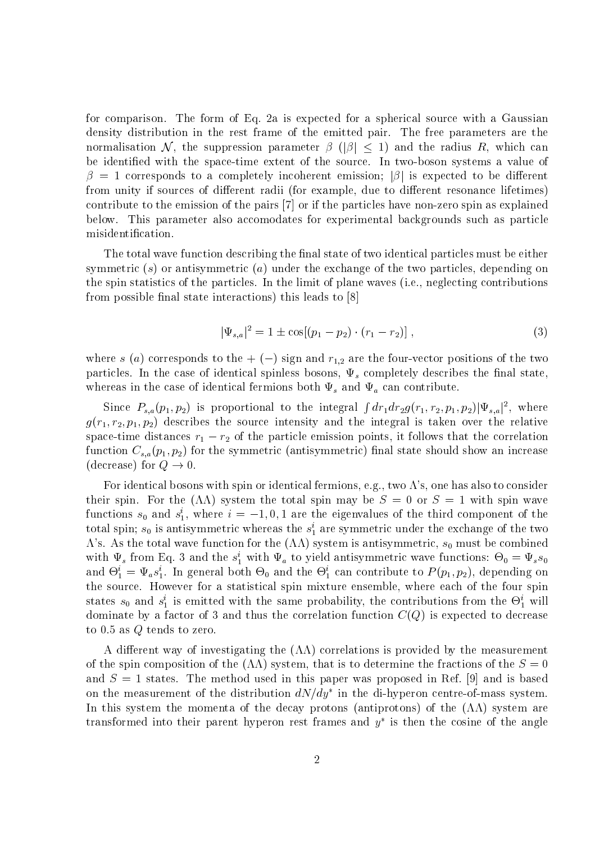for comparison. The form of Eq. 2a is expected for a spherical source with a Gaussian density distribution in the rest frame of the emitted pair. The free parameters are the normalisation N, the suppression parameter  $\beta$  ( $|\beta| \leq 1$ ) and the radius R, which can be identified with the space-time extent of the source. In two-boson systems a value of  = 1 corresponds to a completely incoherent emission; <sup>j</sup><sup>j</sup> is expected to be dierent from unity if sources of different radii (for example, due to different resonance lifetimes) contribute to the emission of the pairs  $[7]$  or if the particles have non-zero spin as explained below. This parameter also accomodates for experimental backgrounds such as particle misidentification.

The total wave function describing the final state of two identical particles must be either symmetric  $(s)$  or antisymmetric  $(a)$  under the exchange of the two particles, depending on the spin statistics of the particles. In the limit of plane waves (i.e., neglecting contributions from possible final state interactions) this leads to  $[8]$ 

$$
|\Psi_{s,a}|^2 = 1 \pm \cos[(p_1 - p_2) \cdot (r_1 - r_2)], \qquad (3)
$$

where s (a) corresponds to the  $+ (-)$  sign and  $r_{1,2}$  are the four-vector positions of the two particles. In the case of identical spinless bosons,  $\Psi_s$  completely describes the final state, whereas in the case of identical fermions both  $\Psi_s$  and  $\Psi_a$  can contribute.

Since  $P_{s,a}(p_1,p_2)$  is proportional to the integral  $\int dr_1 dr_2 g(r_1,r_2,p_1,p_2) |\Psi_{s,a}|^2$ , where  $g(r_1, r_2, p_1, p_2)$  describes the source intensity and the integral is taken over the relative space-time distances r1 r2 of the particle emission points, it follows that the correlation function  $C_{s,a}(p_1, p_2)$  for the symmetric (antisymmetric) final state should show an increase (decrease) for  $Q \to 0$ .

For identical bosons with spin or identical fermions, e.g., two  $\Lambda$ 's, one has also to consider their spin. For the  $(\Lambda\Lambda)$  system the total spin may be  $S = 0$  or  $S = 1$  with spin wave functions  $s_0$  and  $s_1$ , where  $i=-1,0,1$  are the eigenvalues of the third component of the total spin;  $s_0$  is antisymmetric whereas the  $s_1$  are symmetric under the exchange of the two  $\overline{\phantom{a}}$  $\Lambda$ 's. As the total wave function for the  $(\Lambda\Lambda)$  system is antisymmetric,  $s_0$  must be combined with  $\Psi_s$  from Eq. 3 and the  $s_1$  with  $\Psi_a$  to yield antisymmetric wave functions:  $\Theta_0 = \Psi_s s_0$ and  $\Theta_1^* = \Psi_a s_1^*$ . In general both  $\Theta_0$  and the  $\Theta_1^*$  can contribute to  $P(p_1, p_2)$ , depending on 1 $\overline{\phantom{0}}$ the source. However for a statistical spin mixture ensemble, where each of the four spin states  $s_0$  and  $s_1$  is emitted with the same probability, the contributions from the  $\Theta_1$  will dominate by a factor of 3 and thus the correlation function  $C(Q)$  is expected to decrease to  $0.5$  as  $Q$  tends to zero.

A different way of investigating the  $(\Lambda\Lambda)$  correlations is provided by the measurement of the spin composition of the  $(\Lambda\Lambda)$  system, that is to determine the fractions of the  $S = 0$ and  $S = 1$  states. The method used in this paper was proposed in Ref. [9] and is based on the measurement of the distribution  $a_{N/dy\,$  in the di-hyperon centre-of-mass system. In this system the momenta of the decay protons (antiprotons) of the  $(\Lambda\Lambda)$  system are transformed into their parent hyperon rest frames and  $\bar{y}$  is then the cosine of the angle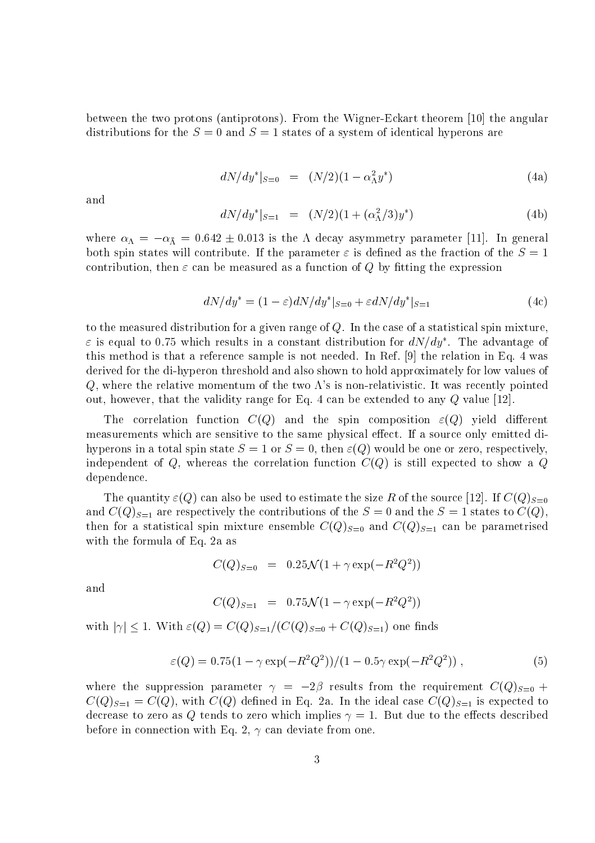between the two protons (antiprotons). From the Wigner-Eckart theorem [10] the angular distributions for the  $S = 0$  and  $S = 1$  states of a system of identical hyperons are

$$
dN/dy^*|_{S=0} = (N/2)(1 - \alpha_\Lambda^2 y^*)
$$
\n(4a)

and

$$
dN/dy^*|_{S=1} = (N/2)(1 + (\alpha_\Lambda^2/3)y^*)
$$
 (4b)

where  $\omega_{\Lambda}$   $\sim$   $\omega_{\Lambda}$   $\sim$  0.012  $\pm$   $\pm$  0.010 is the decay asymmetry parameter [11]. In general both spin states will contribute. If the parameter  $\varepsilon$  is defined as the fraction of the  $S=1$ contribution, then  $\varepsilon$  can be measured as a function of Q by fitting the expression

$$
dN/dy^* = (1 - \varepsilon)dN/dy^*|_{S=0} + \varepsilon dN/dy^*|_{S=1}
$$
\n(4c)

to the measured distribution for a given range of  $Q$ . In the case of a statistical spin mixture,  $\varepsilon$  is equal to 0.75 which results in a constant distribution for  $a$ N/ $ay$  . The advantage of this method is that a reference sample is not needed. In Ref. [9] the relation in Eq. 4 was derived for the di-hyperon threshold and also shown to hold approximately for low values of Q, where the relative momentum of the two  $\Lambda$ 's is non-relativistic. It was recently pointed out, however, that the validity range for Eq. 4 can be extended to any  $Q$  value [12].

The correlation function  $C(Q)$  and the spin composition  $\varepsilon(Q)$  yield different measurements which are sensitive to the same physical effect. If a source only emitted dihyperons in a total spin state  $S = 1$  or  $S = 0$ , then  $\varepsilon(Q)$  would be one or zero, respectively. independent of Q, whereas the correlation function  $C(Q)$  is still expected to show a Q dependence.

The quantity  $\varepsilon(Q)$  can also be used to estimate the size R of the source [12]. If  $C(Q)_{S=0}$ and  $C(Q)_{S=1}$  are respectively the contributions of the  $S=0$  and the  $S=1$  states to  $C(Q)$ , then for a statistical spin mixture ensemble  $C(Q)_{S=0}$  and  $C(Q)_{S=1}$  can be parametrised with the formula of Eq. 2a as

 $C(Q)_{S=0} = 0.25 \mathcal{N} (1 + \gamma \exp(-R^2 Q^2))$ 

and

$$
C(Q)_{S=1} = 0.75\mathcal{N}(1 - \gamma \exp(-R^2 Q^2))
$$

with  $|\gamma| \leq 1$ . With  $\varepsilon(Q) = C(Q)_{S=1}/(C(Q)_{S=0} + C(Q)_{S=1})$  one finds

$$
\varepsilon(Q) = 0.75(1 - \gamma \exp(-R^2 Q^2))/(1 - 0.5\gamma \exp(-R^2 Q^2)), \qquad (5)
$$

where the suppression parameter  $\gamma = -2\beta$  results from the requirement  $C(Q)_{S=0}$  +  $C(Q)_{S=1} = C(Q)$ , with  $C(Q)$  defined in Eq. 2a. In the ideal case  $C(Q)_{S=1}$  is expected to decrease to zero as Q tends to zero which implies  $\gamma = 1$ . But due to the effects described before in connection with Eq. 2,  $\gamma$  can deviate from one.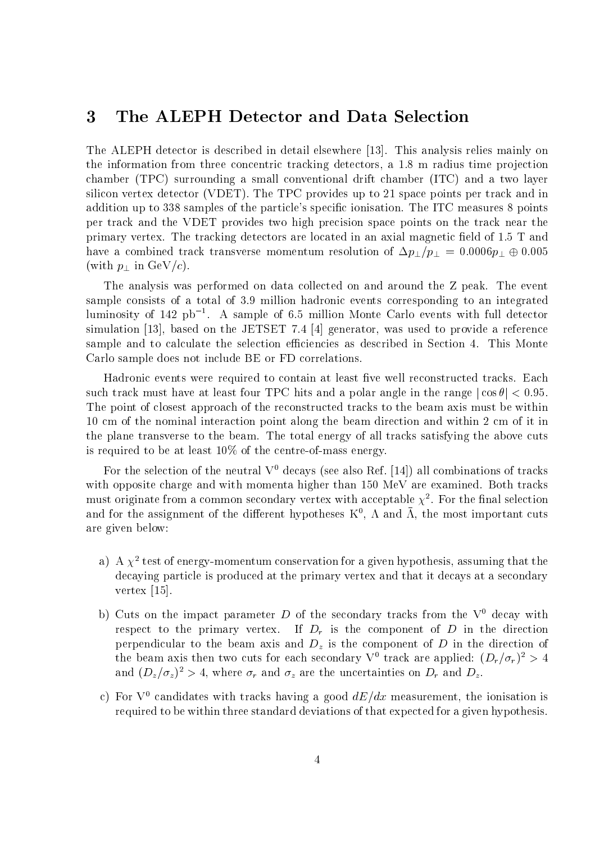### 3 The ALEPH Detector and Data Selection

The ALEPH detector is described in detail elsewhere [13]. This analysis relies mainly on the information from three concentric tracking detectors, a  $1.8 \text{ m}$  radius time projection chamber (TPC) surrounding a small conventional drift chamber (ITC) and a two layer silicon vertex detector (VDET). The TPC provides up to 21 space points per track and in addition up to 338 samples of the particle's specic ionisation. The ITC measures 8 points per track and the VDET provides two high precision space points on the track near the primary vertex. The tracking detectors are located in an axial magnetic field of 1.5 T and have a combined track transverse momentum resolution of  $\Delta p_{\perp}/p_{\perp} = 0.0006 p_{\perp} \oplus 0.005$ (with  $p_{\perp}$  in GeV/c).

The analysis was performed on data collected on and around the Z peak. The event sample consists of a total of 3.9 million hadronic events corresponding to an integrated luminosity of 142 pb  $\,$  . A sample of 6.5 million Monte Carlo events with full detector simulation [13], based on the JETSET 7.4 [4] generator, was used to provide a reference sample and to calculate the selection efficiencies as described in Section 4. This Monte Carlo sample does not include BE or FD correlations.

Hadronic events were required to contain at least five well reconstructed tracks. Each such track must have at least four TPC hits and a polar angle in the range  $|\cos \theta|$  < 0.95. The point of closest approach of the reconstructed tracks to the beam axis must be within 10 cm of the nominal interaction point along the beam direction and within 2 cm of it in the plane transverse to the beam. The total energy of all tracks satisfying the above cuts is required to be at least 10% of the centre-of-mass energy.

For the selection of the neutral  $V^0$  decays (see also Ref. [14]) all combinations of tracks with opposite charge and with momenta higher than 150 MeV are examined. Both tracks must originate from a common secondary vertex with acceptable  $\chi$  . For the final selection and for the assignment of the different hypotheses  $K^*$ ,  $\Lambda$  and  $\Lambda$ , the most important cuts are given below:

- a) A  $\chi^2$  test of energy-momentum conservation for a given hypothesis, assuming that the decaying particle is produced at the primary vertex and that it decays at a secondary vertex [15].
- b) Cuts on the impact parameter D of the secondary tracks from the  $V^0$  decay with respect to the primary vertex. If  $D<sub>r</sub>$  is the component of D in the direction perpendicular to the beam axis and  $D<sub>z</sub>$  is the component of D in the direction of the beam axis then two cuts for each secondary  $V^+$  track are applied:  $(D_r/\sigma_r)^+ > 4$ and  $(D_z/\sigma_z)^2 > 4$ , where  $\sigma_r$  and  $\sigma_z$  are the uncertainties on  $D_r$  and  $D_z$ .
- c) For  $V^0$  candidates with tracks having a good  $dE/dx$  measurement, the ionisation is required to be within three standard deviations of that expected for a given hypothesis.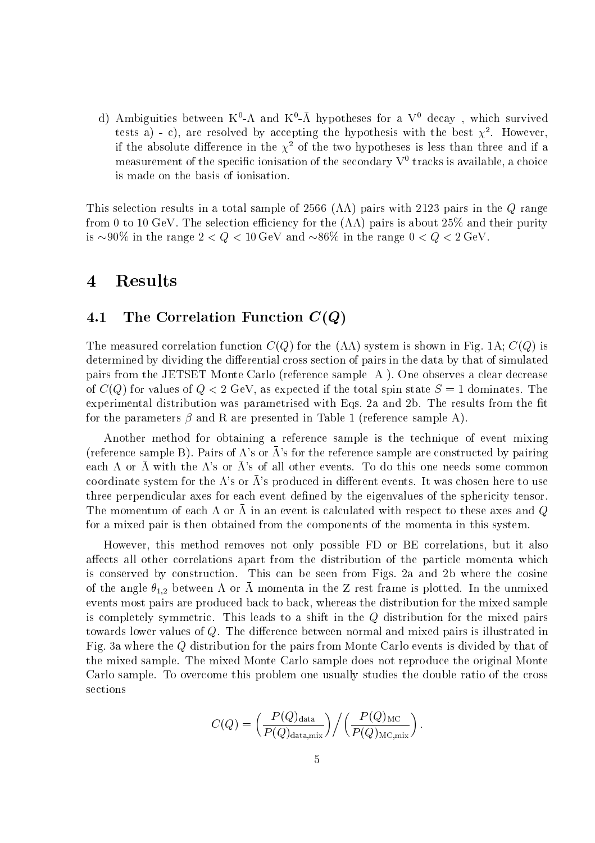d) Ambiguities between K°-A and K°-A hypotheses for a V° decay , which survived tests a) - c), are resolved by accepting the hypothesis with the best  $\chi$ -. However, if the absolute difference in the  $\chi^2$  of the two hypotheses is less than three and if a measurement of the specific ionisation of the secondary  $V^0$  tracks is available, a choice is made on the basis of ionisation.

This selection results in a total sample of 2566 ( $\Lambda\Lambda$ ) pairs with 2123 pairs in the Q range from 0 to 10 GeV. The selection efficiency for the  $(\Lambda\Lambda)$  pairs is about 25% and their purity is  $\sim 90\%$  in the range  $2 < Q < 10$  GeV and  $\sim 86\%$  in the range  $0 < Q < 2$  GeV.

# 4 Results

#### The Correlation Function  $C(Q)$  $4.1$

The measured correlation function  $C(Q)$  for the  $(\Lambda\Lambda)$  system is shown in Fig. 1A;  $C(Q)$  is determined by dividing the differential cross section of pairs in the data by that of simulated pairs from the JETSET Monte Carlo (reference sample A ). One observes a clear decrease of  $C(Q)$  for values of  $Q < 2$  GeV, as expected if the total spin state  $S = 1$  dominates. The experimental distribution was parametrised with Eqs. 2a and 2b. The results from the fit for the parameters  $\beta$  and R are presented in Table 1 (reference sample A).

Another method for obtaining a reference sample is the technique of event mixing (reference sample B). Pairs of  $\Lambda$ 's or  $\Lambda$ 's for the reference sample are constructed by pairing each  $\Lambda$  or  $\Lambda$  with the  $\Lambda$ 's or  $\Lambda$ 's of all other events. To do this one needs some common coordinate system for the  $\Lambda$ 's or  $\Lambda$ 's produced in different events. It was chosen here to use three perpendicular axes for each event defined by the eigenvalues of the sphericity tensor. The momentum of each  $\pi$  or  $\pi$  in an event is calculated with respect to these axes and  $\varphi$ for a mixed pair is then obtained from the components of the momenta in this system.

However, this method removes not only possible FD or BE correlations, but it also affects all other correlations apart from the distribution of the particle momenta which is conserved by construction. This can be seen from Figs. 2a and 2b where the cosine of the angle  $\theta_{1,2}$  between  $\Lambda$  or  $\bar{\Lambda}$  momenta in the Z rest frame is plotted. In the unmixed events most pairs are produced back to back, whereas the distribution for the mixed sample is completely symmetric. This leads to a shift in the <sup>Q</sup> distribution for the mixed pairs towards lower values of  $Q$ . The difference between normal and mixed pairs is illustrated in Fig. 3a where the <sup>Q</sup> distribution for the pairs from Monte Carlo events is divided by that of the mixed sample. The mixed Monte Carlo sample does not reproduce the original Monte Carlo sample. To overcome this problem one usually studies the double ratio of the cross sections

$$
C(Q) = \left(\frac{P(Q)_{\text{data}}}{P(Q)_{\text{data,mix}}}\right) / \left(\frac{P(Q)_{\text{MC}}}{P(Q)_{\text{MC,mix}}}\right).
$$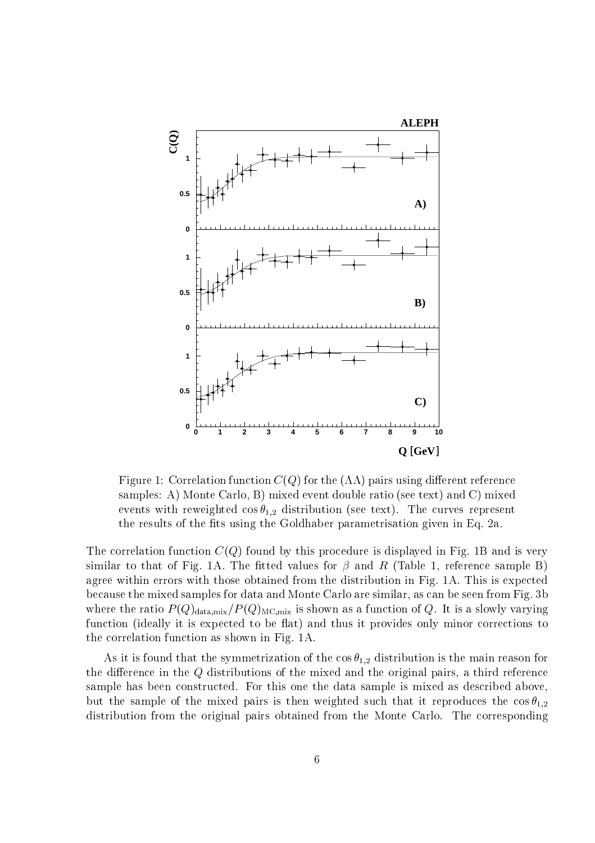

Figure 1: Correlation function  $C(Q)$  for the  $(\Lambda\Lambda)$  pairs using different reference samples: A) Monte Carlo, B) mixed event double ratio (see text) and C) mixed events with reweighted  $\cos\theta_{1,2}$  distribution (see text). The curves represent the results of the fits using the Goldhaber parametrisation given in Eq. 2a.

The correlation function  $C(Q)$  found by this procedure is displayed in Fig. 1B and is very similar to that of Fig. 1A. The fitted values for  $\beta$  and R (Table 1, reference sample B) agree within errors with those obtained from the distribution in Fig. 1A. This is expected because the mixed samples for data and Monte Carlo are similar, as can be seen from Fig. 3b where the ratio  $P(Q)_{\text{data,mix}}/P(Q)_{\text{MC,mix}}$  is shown as a function of Q. It is a slowly varying function (ideally it is expected to be flat) and thus it provides only minor corrections to the correlation function as shown in Fig. 1A.

As it is found that the symmetrization of the  $\cos \theta_{1,2}$  distribution is the main reason for the difference in the  $Q$  distributions of the mixed and the original pairs, a third reference sample has been constructed. For this one the data sample is mixed as described above, but the sample of the mixed pairs is then weighted such that it reproduces the  $\cos \theta_{1,2}$ distribution from the original pairs obtained from the Monte Carlo. The corresponding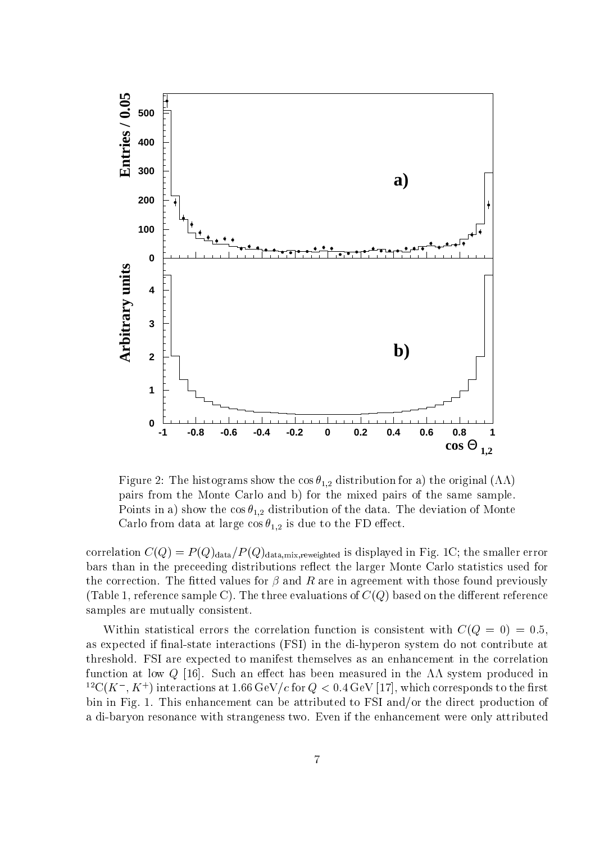

Figure 2: The histograms show the cos  $\theta_{1,2}$  distribution for a) the original  $(\Lambda\Lambda)$ pairs from the Monte Carlo and b) for the mixed pairs of the same sample. Points in a) show the  $\cos \theta_{1,2}$  distribution of the data. The deviation of Monte Carlo from data at large  $\cos \theta_{1,2}$  is due to the FD effect.

correlation  $C(Q) = P(Q)_{data}/P(Q)_{data,mix,reweighted}$  is displayed in Fig. 1C; the smaller error bars than in the preceeding distributions reflect the larger Monte Carlo statistics used for the correction. The fitted values for  $\beta$  and R are in agreement with those found previously (Table 1, reference sample C). The three evaluations of  $C(Q)$  based on the different reference samples are mutually consistent.

Within statistical errors the correlation function is consistent with  $C(Q = 0) = 0.5$ , as expected if final-state interactions (FSI) in the di-hyperon system do not contribute at threshold. FSI are expected to manifest themselves as an enhancement in the correlation function at low Q [16]. Such an effect has been measured in the  $\Lambda\Lambda$  system produced in  $\Gamma$  C(A  $^+$  , A  $^+$  ) interactions at 1.06 GeV /c for  $Q< 0.4$  GeV [17], which corresponds to the first bin in Fig. 1. This enhancement can be attributed to FSI and/or the direct production of a di-baryon resonance with strangeness two. Even if the enhancement were only attributed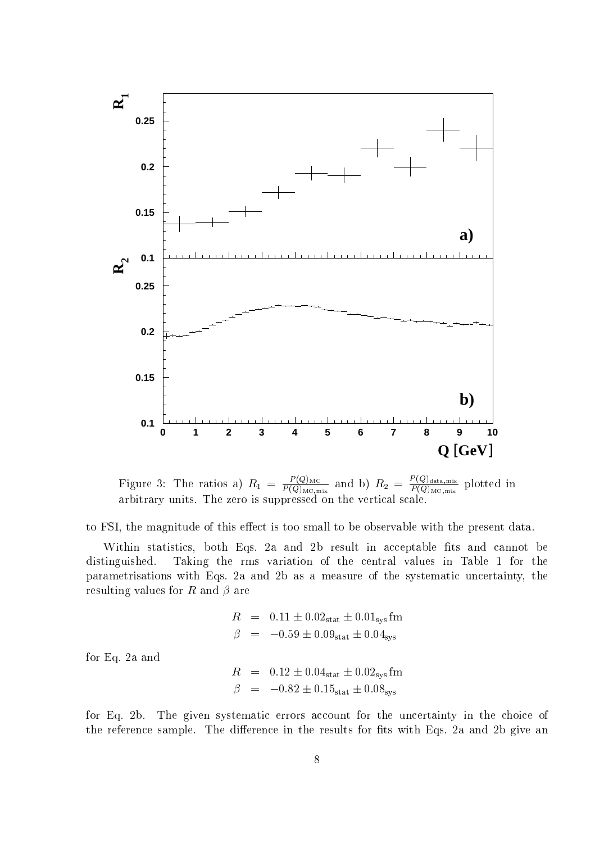

Figure 3: The ratios a)  $R_1 = \frac{P(\mathcal{Q})_{\text{MC}}}{P(Q)_{\text{MC,mix}}}$  and b)  $R_2 = \frac{P(\mathcal{Q})_{\text{MC,mix}}}{P(Q)_{\text{MC,mix}}}$  plotted in arbitrary units. The zero is suppressed on the vertical scale.

to FSI, the magnitude of this effect is too small to be observable with the present data.

Within statistics, both Eqs. 2a and 2b result in acceptable fits and cannot be distinguished. Taking the rms variation of the central values in Table 1 for the parametrisations with Eqs. 2a and 2b as a measure of the systematic uncertainty, the resulting values for R and  $\beta$  are

$$
R = 0.11 \pm 0.02stat \pm 0.01sys fm
$$
  

$$
\beta = -0.59 \pm 0.09stat \pm 0.04sys
$$

for Eq. 2a and

$$
R = 0.12 \pm 0.04stat \pm 0.02sys fm
$$
  

$$
\beta = -0.82 \pm 0.15stat \pm 0.08sys
$$

for Eq. 2b. The given systematic errors account for the uncertainty in the choice of the reference sample. The difference in the results for fits with Eqs. 2a and 2b give an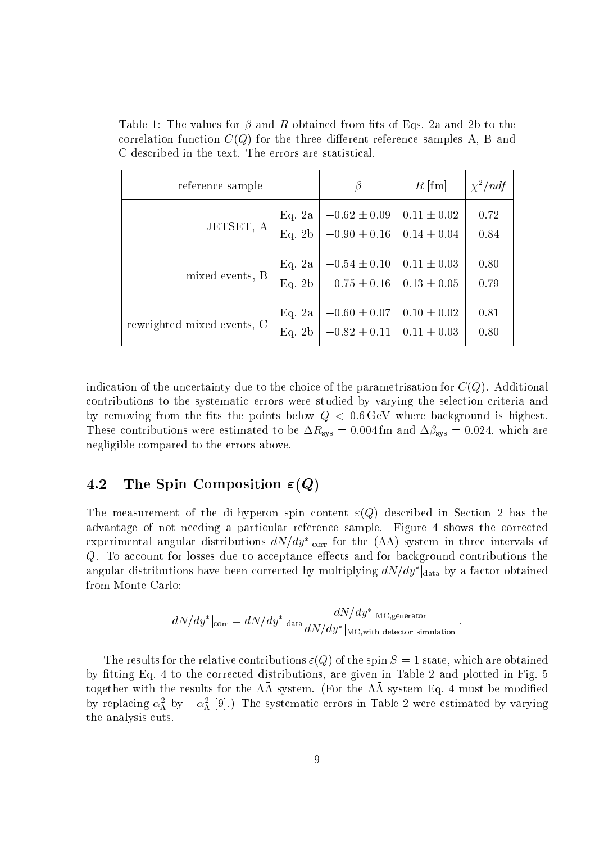| reference sample           |                    |                                                                          | $R$ [fm]        | $\chi^2/ndf$ |
|----------------------------|--------------------|--------------------------------------------------------------------------|-----------------|--------------|
| JETSET, A                  | Eq. $2a$<br>Eq. 2b | $-0.62 \pm 0.09$<br>$-0.90 \pm 0.16$   $0.14 \pm 0.04$                   | $0.11 \pm 0.02$ | 0.72<br>0.84 |
| mixed events, B            | Eq. 2a<br>Eq. 2b   | $-0.54 \pm 0.10$<br>$-0.75 \pm 0.16$   $0.13 \pm 0.05$                   | $0.11 \pm 0.03$ | 0.80<br>0.79 |
| reweighted mixed events, C | Eq. 2a<br>Eq. 2b   | $-0.60 \pm 0.07$   $0.10 \pm 0.02$<br>$-0.82 \pm 0.11$   $0.11 \pm 0.03$ |                 | 0.81<br>0.80 |

Table 1: The values for  $\beta$  and R obtained from fits of Eqs. 2a and 2b to the correlation function  $C(Q)$  for the three different reference samples A, B and C described in the text. The errors are statistical.

indication of the uncertainty due to the choice of the parametrisation for  $C(Q)$ . Additional contributions to the systematic errors were studied by varying the selection criteria and by removing from the fits the points below  $Q < 0.6 \,\text{GeV}$  where background is highest.  $T$  is a contribution were estimated to be  $T_{\rm{avg}}$  = 0:004 fm and  $T_{\rm{avg}}$  = 0:024, which are negligible compared to the errors above.

#### 4.2 The Spin Composition  $\varepsilon(Q)$

The measurement of the di-hyperon spin content  $\varepsilon(Q)$  described in Section 2 has the advantage of not needing a particular reference sample. Figure 4 shows the corrected experimental angular distributions  $a$ tv $/ay$   $|_{\rm corr}$  for the  $(\Lambda\Lambda)$  system in three intervals of Q. To account for losses due to acceptance effects and for background contributions the angular distributions have been corrected by multiplying  $a_{IV}/ay$   $_{\text{data}}$  by a factor obtained from Monte Carlo:

$$
dN/dy^*|_{\text{corr}} = dN/dy^*|_{\text{data}} \frac{dN/dy^*|_{\text{MC,generator}}}{dN/dy^*|_{\text{MC,with detector simulation}}} \,.
$$

:

The results for the relative contributions  $\varepsilon(Q)$  of the spin  $S = 1$  state, which are obtained by fitting Eq. 4 to the corrected distributions, are given in Table 2 and plotted in Fig. 5  $\alpha$  , together with the results for the  $\alpha$  is system. (For the  $\alpha\alpha$  system Eq. 4 must be modified by replacing  $\alpha_{\Lambda}^*$  by  $-\alpha_{\Lambda}^*$  [9].) The systematic errors in Table 2 were estimated by varying the analysis cuts.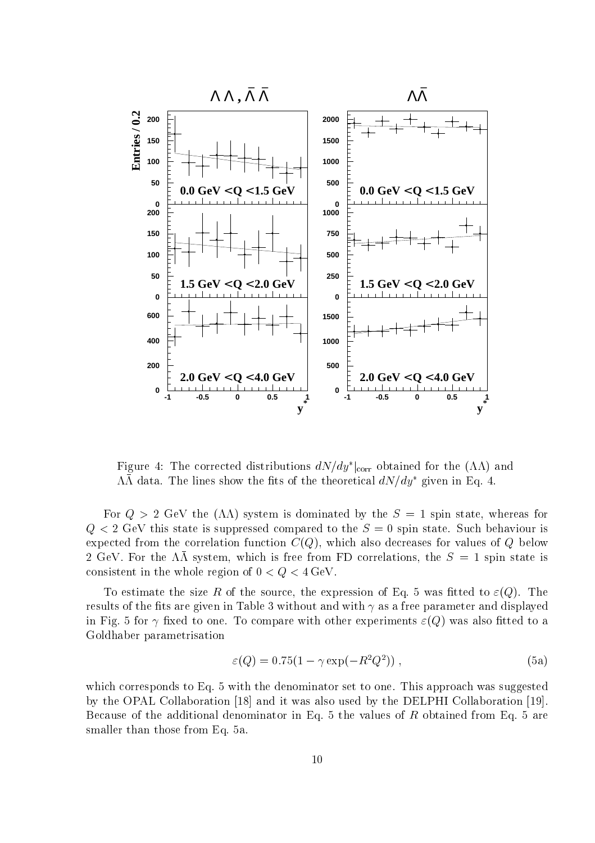

Figure 4: The corrected distributions  $a_{IV}/ay_{\rm \;lcorr}$  obtained for the ( $\Lambda\Lambda$ ) and  $\Lambda\Lambda$  data. The lines show the fits of the theoretical  $dN/dy^*$  given in Eq. 4.

For  $Q > 2$  GeV the  $(\Lambda \Lambda)$  system is dominated by the  $S = 1$  spin state, whereas for  $\mathbf{v}_i$  ,  $\mathbf{v}_i$  as state is suppressed to the S  $^*$  suppressed to the S  $^*$  spin state. Such behaviour is the S  $^*$ expected from the correlation function  $C(Q)$ , which also decreases for values of Q below  $\overline{z}$  GeV. For the  $m$  system, which is free from FD correlations, the  $\overline{\nu} = 1$  spin state is consistent in the whole region of  $0 < Q < 4 \text{ GeV}$ .

To estimate the size R of the source, the expression of Eq. 5 was fitted to  $\varepsilon(Q)$ . The results of the fits are given in Table 3 without and with  $\gamma$  as a free parameter and displayed in Fig. 5 for  $\gamma$  fixed to one. To compare with other experiments  $\varepsilon(Q)$  was also fitted to a Goldhaber parametrisation

$$
\varepsilon(Q) = 0.75(1 - \gamma \exp(-R^2 Q^2)),\tag{5a}
$$

which corresponds to Eq. 5 with the denominator set to one. This approach was suggested by the OPAL Collaboration [18] and it was also used by the DELPHI Collaboration [19]. Because of the additional denominator in Eq. 5 the values of  $R$  obtained from Eq. 5 are smaller than those from Eq. 5a.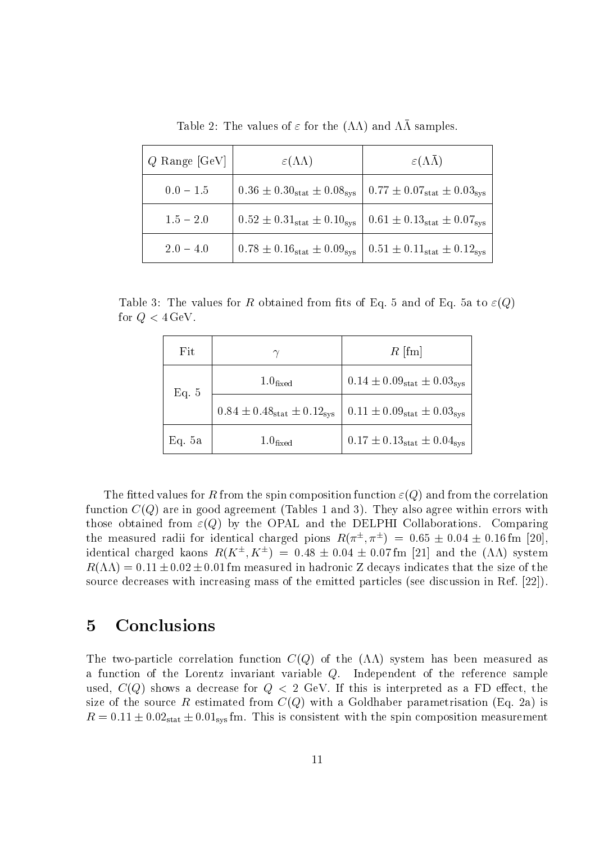| $Q$ Range [GeV] | $\varepsilon(\Lambda\Lambda)$                                                 | $\varepsilon(\Lambda\Lambda)$         |  |
|-----------------|-------------------------------------------------------------------------------|---------------------------------------|--|
| $0.0 - 1.5$     | $0.36 \pm 0.30_{stat} \pm 0.08_{sys}$   $0.77 \pm 0.07_{stat} \pm 0.03_{sys}$ |                                       |  |
| $1.5 - 2.0$     | $0.52 \pm 0.31_{stat} \pm 0.10_{sys}$   $0.61 \pm 0.13_{stat} \pm 0.07_{sys}$ |                                       |  |
| $2.0 - 4.0$     | $0.78 \pm 0.16_{stat} \pm 0.09_{sys}$                                         | $0.51 \pm 0.11_{stat} \pm 0.12_{sys}$ |  |

Table 2: The values of  $\varepsilon$  for the  $(\Lambda\Lambda)$  and  $\Lambda\bar{\Lambda}$  samples.

Table 3: The values for R obtained from fits of Eq. 5 and of Eq. 5a to  $\varepsilon(Q)$ for  $Q < 4 \,\text{GeV}$ .

| Fit    |                                       | $R$ [fm]                                      |
|--------|---------------------------------------|-----------------------------------------------|
| Eq. 5  | 1.0 <sub>fixed</sub>                  | $0.14 \pm 0.09_{\rm stat} \pm 0.03_{\rm sys}$ |
|        | $0.84 \pm 0.48_{stat} \pm 0.12_{sys}$ | $0.11 \pm 0.09_{stat} \pm 0.03_{sys}$         |
| Eq. 5a | 1.0 <sub>fixed</sub>                  | $0.17 \pm 0.13_{stat} \pm 0.04_{sys}$         |

The fitted values for R from the spin composition function  $\varepsilon(Q)$  and from the correlation function  $C(Q)$  are in good agreement (Tables 1 and 3). They also agree within errors with those obtained from  $\varepsilon(Q)$  by the OPAL and the DELPHI Collaborations. Comparing the measured radii for identical charged pions  $R(x_-, x_-) = 0.05 \pm 0.04 \pm 0.16$  mm  $\rm [20]$ , identical charged kaons  $R(X^-, X^-) = 0.48 \pm 0.04 \pm 0.07$  ini [21] and the (AA) system  $R(\Lambda\Lambda) = 0.11 \pm 0.02 \pm 0.01$  fm measured in hadronic Z decays indicates that the size of the source decreases with increasing mass of the emitted particles (see discussion in Ref. [22]).

# 5 Conclusions

The two-particle correlation function  $C(Q)$  of the  $(\Lambda\Lambda)$  system has been measured as a function of the Lorentz invariant variable Q. Independent of the reference sample used,  $C(Q)$  shows a decrease for  $Q < 2$  GeV. If this is interpreted as a FD effect, the size of the source R estimated from  $C(Q)$  with a Goldhaber parametrisation (Eq. 2a) is  $\mathbf{r}$  , order with  $\mathbf{r}$  , order  $\mathbf{r}$  is the spin composition measurement with the spin composition measurement.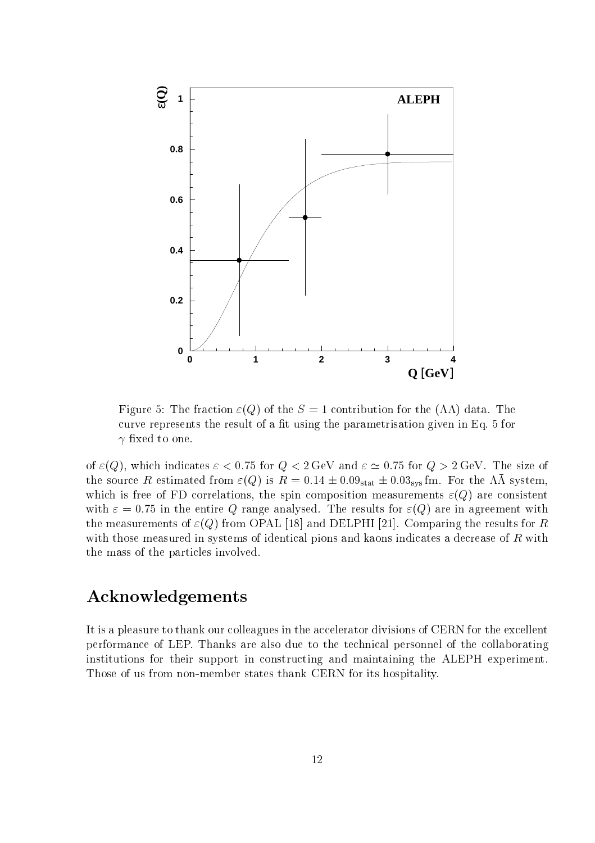

Figure 5: The fraction  $\varepsilon(Q)$  of the  $S = 1$  contribution for the  $(\Lambda \Lambda)$  data. The curve represents the result of a fit using the parametrisation given in Eq. 5 for xed to one.

of  $\varepsilon(Q)$ , which indicates  $\varepsilon < 0.75$  for  $Q < 2 \text{ GeV}$  and  $\varepsilon \simeq 0.75$  for  $Q > 2 \text{ GeV}$ . The size of The source It estimated from  $\varepsilon(\varphi)$  is  $\pi = 0.14 \pm 0.03$  states 0.00 system. For the TIT system, which is free of FD correlations, the spin composition measurements  $\varepsilon(Q)$  are consistent with  $\varepsilon = 0.75$  in the entire Q range analysed. The results for  $\varepsilon(Q)$  are in agreement with the measurements of  $\varepsilon(Q)$  from OPAL [18] and DELPHI [21]. Comparing the results for R with those measured in systems of identical pions and kaons indicates a decrease of R with the mass of the particles involved.

# Acknowledgements

It is a pleasure to thank our colleagues in the accelerator divisions of CERN for the excellent performance of LEP. Thanks are also due to the technical personnel of the collaborating institutions for their support in constructing and maintaining the ALEPH experiment. Those of us from non-member states thank CERN for its hospitality.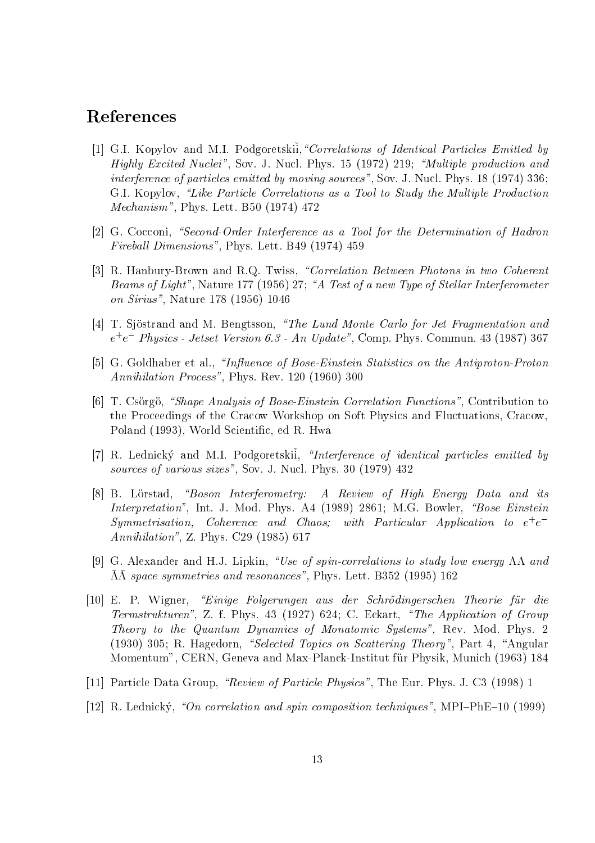### References

- [1] G.I. Kopylov and M.I. Podgoretskii, "Correlations of Identical Particles Emitted by Highly Excited Nuclei", Sov. J. Nucl. Phys. 15 (1972) 219; "Multiple production and interference of particles emitted by moving sources", Sov. J. Nucl. Phys. 18 (1974) 336; G.I. Kopylov, "Like Particle Correlations as a Tool to Study the Multiple Production Mechanism", Phys. Lett. B50 (1974) 472
- [2] G. Cocconi, "Second-Order Interference as a Tool for the Determination of Hadron Fireball Dimensions", Phys. Lett. B49 (1974) 459
- [3] R. Hanbury-Brown and R.Q. Twiss, "Correlation Between Photons in two Coherent Beams of Light", Nature 177 (1956) 27; "A Test of a new Type of Stellar Interferometer on Sirius", Nature 178 (1956) 1046
- [4] T. Sjöstrand and M. Bengtsson, "The Lund Monte Carlo for Jet Fragmentation and e+ e Physics - Jetset Version 6.3 - An Update", Comp. Phys. Commun. 43 (1987) 367
- [5] G. Goldhaber et al., "Influence of Bose-Einstein Statistics on the Antiproton-Proton Annihilation Process", Phys. Rev. 120 (1960) 300
- [6] T. Csorgo, "Shape Analysis of Bose-Einstein Correlation Functions", Contribution to the Proceedings of the Cracow Workshop on Soft Physics and Fluctuations, Cracow, Poland (1993), World Scientic, ed R. Hwa
- [7] R. Lednický and M.I. Podgoretskii, "Interference of identical particles emitted by sources of various sizes", Sov. J. Nucl. Phys. 30 (1979) 432
- $[8]$  B. Lörstad, "Boson Interferometry: A Review of High Energy Data and its Interpretation", Int. J. Mod. Phys. A4 (1989) 2861; M.G. Bowler,  $\mathscr{B}ose Einstein$ Symmetrisation, Coherence and Chaos; with Particular Application to <sup>e</sup><sup>+</sup> e Annihilation", Z. Phys. C29 (1985) 617
- [9] G. Alexander and H.J. Lipkin, "Use of spin-correlations to study low energy  $\Lambda\Lambda$  and  $\mu$  space symmetries and resonances", Phys. Lett. B352 (1995) 162 (1995) 162 (1995) 162 (1995) 162 (1995) 162 (1
- [10] E. P. Wigner, \Einige Folgerungen aus der Schrodingerschen Theorie fur die Termstrukturen", Z. f. Phys. 43 (1927) 624; C. Eckart, \The Application of Group Theory to the Quantum Dynamics of Monatomic Systems", Rev. Mod. Phys. 2 (1930) 305; R. Hagedorn, "Selected Topics on Scattering Theory", Part 4, "Angular Momentum", CERN, Geneva and Max-Planck-Institut fur Physik, Munich (1963) 184
- [11] Particle Data Group, "Review of Particle Physics", The Eur. Phys. J. C3 (1998) 1
- [12] R. Lednicky, "On correlation and spin composition techniques", MPI-PhE-10 (1999)